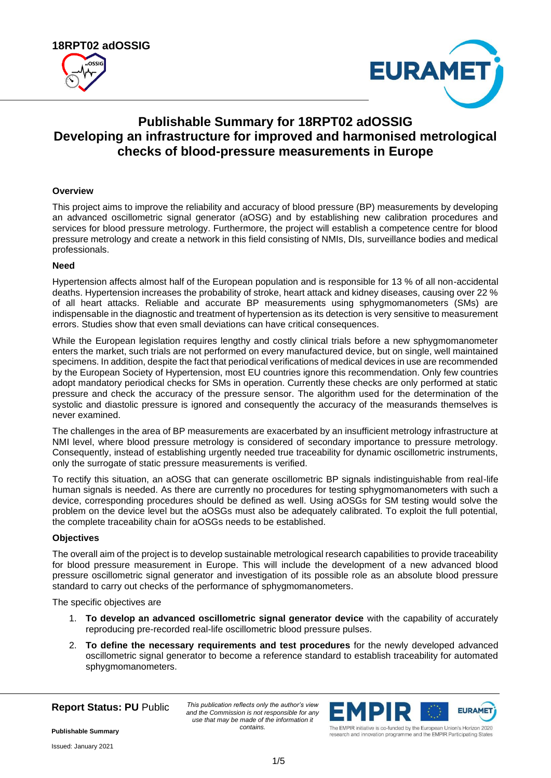



# **Publishable Summary for 18RPT02 adOSSIG Developing an infrastructure for improved and harmonised metrological checks of blood-pressure measurements in Europe**

## **Overview**

This project aims to improve the reliability and accuracy of blood pressure (BP) measurements by developing an advanced oscillometric signal generator (aOSG) and by establishing new calibration procedures and services for blood pressure metrology. Furthermore, the project will establish a competence centre for blood pressure metrology and create a network in this field consisting of NMIs, DIs, surveillance bodies and medical professionals.

# **Need**

Hypertension affects almost half of the European population and is responsible for 13 % of all non-accidental deaths. Hypertension increases the probability of stroke, heart attack and kidney diseases, causing over 22 % of all heart attacks. Reliable and accurate BP measurements using sphygmomanometers (SMs) are indispensable in the diagnostic and treatment of hypertension as its detection is very sensitive to measurement errors. Studies show that even small deviations can have critical consequences.

While the European legislation requires lengthy and costly clinical trials before a new sphygmomanometer enters the market, such trials are not performed on every manufactured device, but on single, well maintained specimens. In addition, despite the fact that periodical verifications of medical devices in use are recommended by the European Society of Hypertension, most EU countries ignore this recommendation. Only few countries adopt mandatory periodical checks for SMs in operation. Currently these checks are only performed at static pressure and check the accuracy of the pressure sensor. The algorithm used for the determination of the systolic and diastolic pressure is ignored and consequently the accuracy of the measurands themselves is never examined.

The challenges in the area of BP measurements are exacerbated by an insufficient metrology infrastructure at NMI level, where blood pressure metrology is considered of secondary importance to pressure metrology. Consequently, instead of establishing urgently needed true traceability for dynamic oscillometric instruments, only the surrogate of static pressure measurements is verified.

To rectify this situation, an aOSG that can generate oscillometric BP signals indistinguishable from real-life human signals is needed. As there are currently no procedures for testing sphygmomanometers with such a device, corresponding procedures should be defined as well. Using aOSGs for SM testing would solve the problem on the device level but the aOSGs must also be adequately calibrated. To exploit the full potential, the complete traceability chain for aOSGs needs to be established.

## **Objectives**

The overall aim of the project is to develop sustainable metrological research capabilities to provide traceability for blood pressure measurement in Europe. This will include the development of a new advanced blood pressure oscillometric signal generator and investigation of its possible role as an absolute blood pressure standard to carry out checks of the performance of sphygmomanometers.

The specific objectives are

- 1. **To develop an advanced oscillometric signal generator device** with the capability of accurately reproducing pre-recorded real-life oscillometric blood pressure pulses.
- 2. **To define the necessary requirements and test procedures** for the newly developed advanced oscillometric signal generator to become a reference standard to establish traceability for automated sphygmomanometers.

**Report Status: PU** Public

*This publication reflects only the author's view and the Commission is not responsible for any use that may be made of the information it contains.*



research and innovation programme and the EMPIR Participating States

**Publishable Summary**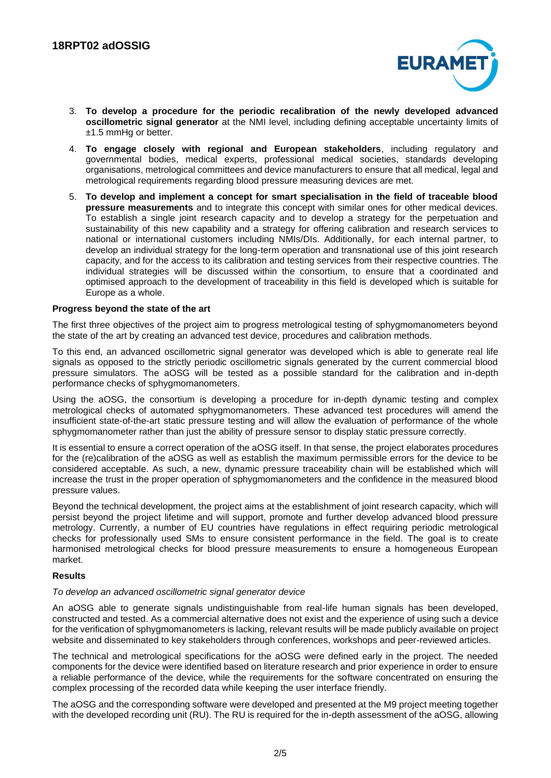

- 3. **To develop a procedure for the periodic recalibration of the newly developed advanced oscillometric signal generator** at the NMI level, including defining acceptable uncertainty limits of ±1.5 mmHg or better.
- 4. **To engage closely with regional and European stakeholders**, including regulatory and governmental bodies, medical experts, professional medical societies, standards developing organisations, metrological committees and device manufacturers to ensure that all medical, legal and metrological requirements regarding blood pressure measuring devices are met.
- 5. **To develop and implement a concept for smart specialisation in the field of traceable blood pressure measurements** and to integrate this concept with similar ones for other medical devices. To establish a single joint research capacity and to develop a strategy for the perpetuation and sustainability of this new capability and a strategy for offering calibration and research services to national or international customers including NMIs/DIs. Additionally, for each internal partner, to develop an individual strategy for the long-term operation and transnational use of this joint research capacity, and for the access to its calibration and testing services from their respective countries. The individual strategies will be discussed within the consortium, to ensure that a coordinated and optimised approach to the development of traceability in this field is developed which is suitable for Europe as a whole.

## **Progress beyond the state of the art**

The first three objectives of the project aim to progress metrological testing of sphygmomanometers beyond the state of the art by creating an advanced test device, procedures and calibration methods.

To this end, an advanced oscillometric signal generator was developed which is able to generate real life signals as opposed to the strictly periodic oscillometric signals generated by the current commercial blood pressure simulators. The aOSG will be tested as a possible standard for the calibration and in-depth performance checks of sphygmomanometers.

Using the aOSG, the consortium is developing a procedure for in-depth dynamic testing and complex metrological checks of automated sphygmomanometers. These advanced test procedures will amend the insufficient state-of-the-art static pressure testing and will allow the evaluation of performance of the whole sphygmomanometer rather than just the ability of pressure sensor to display static pressure correctly.

It is essential to ensure a correct operation of the aOSG itself. In that sense, the project elaborates procedures for the (re)calibration of the aOSG as well as establish the maximum permissible errors for the device to be considered acceptable. As such, a new, dynamic pressure traceability chain will be established which will increase the trust in the proper operation of sphygmomanometers and the confidence in the measured blood pressure values.

Beyond the technical development, the project aims at the establishment of joint research capacity, which will persist beyond the project lifetime and will support, promote and further develop advanced blood pressure metrology. Currently, a number of EU countries have regulations in effect requiring periodic metrological checks for professionally used SMs to ensure consistent performance in the field. The goal is to create harmonised metrological checks for blood pressure measurements to ensure a homogeneous European market.

## **Results**

#### *To develop an advanced oscillometric signal generator device*

An aOSG able to generate signals undistinguishable from real-life human signals has been developed, constructed and tested. As a commercial alternative does not exist and the experience of using such a device for the verification of sphygmomanometers is lacking, relevant results will be made publicly available on project website and disseminated to key stakeholders through conferences, workshops and peer-reviewed articles.

The technical and metrological specifications for the aOSG were defined early in the project. The needed components for the device were identified based on literature research and prior experience in order to ensure a reliable performance of the device, while the requirements for the software concentrated on ensuring the complex processing of the recorded data while keeping the user interface friendly.

The aOSG and the corresponding software were developed and presented at the M9 project meeting together with the developed recording unit (RU). The RU is required for the in-depth assessment of the aOSG, allowing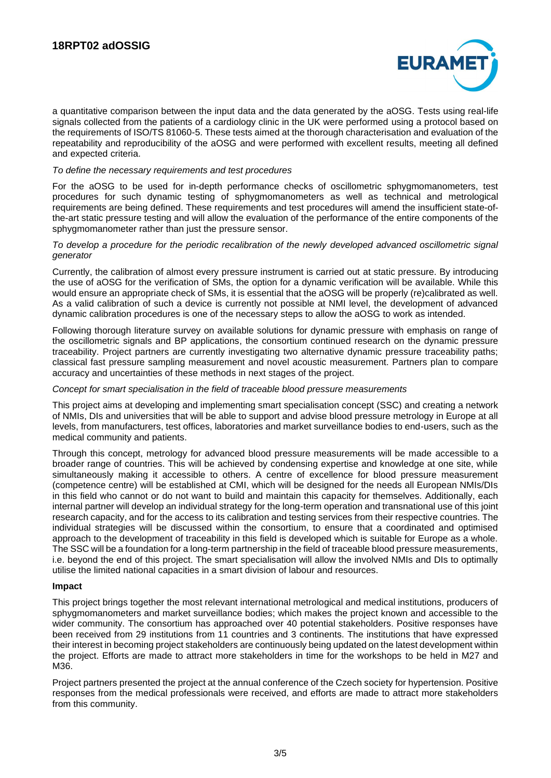

a quantitative comparison between the input data and the data generated by the aOSG. Tests using real-life signals collected from the patients of a cardiology clinic in the UK were performed using a protocol based on the requirements of ISO/TS 81060-5. These tests aimed at the thorough characterisation and evaluation of the repeatability and reproducibility of the aOSG and were performed with excellent results, meeting all defined and expected criteria.

## *To define the necessary requirements and test procedures*

For the aOSG to be used for in-depth performance checks of oscillometric sphygmomanometers, test procedures for such dynamic testing of sphygmomanometers as well as technical and metrological requirements are being defined. These requirements and test procedures will amend the insufficient state-ofthe-art static pressure testing and will allow the evaluation of the performance of the entire components of the sphygmomanometer rather than just the pressure sensor.

## *To develop a procedure for the periodic recalibration of the newly developed advanced oscillometric signal generator*

Currently, the calibration of almost every pressure instrument is carried out at static pressure. By introducing the use of aOSG for the verification of SMs, the option for a dynamic verification will be available. While this would ensure an appropriate check of SMs, it is essential that the aOSG will be properly (re)calibrated as well. As a valid calibration of such a device is currently not possible at NMI level, the development of advanced dynamic calibration procedures is one of the necessary steps to allow the aOSG to work as intended.

Following thorough literature survey on available solutions for dynamic pressure with emphasis on range of the oscillometric signals and BP applications, the consortium continued research on the dynamic pressure traceability. Project partners are currently investigating two alternative dynamic pressure traceability paths; classical fast pressure sampling measurement and novel acoustic measurement. Partners plan to compare accuracy and uncertainties of these methods in next stages of the project.

## *Concept for smart specialisation in the field of traceable blood pressure measurements*

This project aims at developing and implementing smart specialisation concept (SSC) and creating a network of NMIs, DIs and universities that will be able to support and advise blood pressure metrology in Europe at all levels, from manufacturers, test offices, laboratories and market surveillance bodies to end-users, such as the medical community and patients.

Through this concept, metrology for advanced blood pressure measurements will be made accessible to a broader range of countries. This will be achieved by condensing expertise and knowledge at one site, while simultaneously making it accessible to others. A centre of excellence for blood pressure measurement (competence centre) will be established at CMI, which will be designed for the needs all European NMIs/DIs in this field who cannot or do not want to build and maintain this capacity for themselves. Additionally, each internal partner will develop an individual strategy for the long-term operation and transnational use of this joint research capacity, and for the access to its calibration and testing services from their respective countries. The individual strategies will be discussed within the consortium, to ensure that a coordinated and optimised approach to the development of traceability in this field is developed which is suitable for Europe as a whole. The SSC will be a foundation for a long-term partnership in the field of traceable blood pressure measurements, i.e. beyond the end of this project. The smart specialisation will allow the involved NMIs and DIs to optimally utilise the limited national capacities in a smart division of labour and resources.

## **Impact**

This project brings together the most relevant international metrological and medical institutions, producers of sphygmomanometers and market surveillance bodies; which makes the project known and accessible to the wider community. The consortium has approached over 40 potential stakeholders. Positive responses have been received from 29 institutions from 11 countries and 3 continents. The institutions that have expressed their interest in becoming project stakeholders are continuously being updated on the latest development within the project. Efforts are made to attract more stakeholders in time for the workshops to be held in M27 and M36.

Project partners presented the project at the annual conference of the Czech society for hypertension. Positive responses from the medical professionals were received, and efforts are made to attract more stakeholders from this community.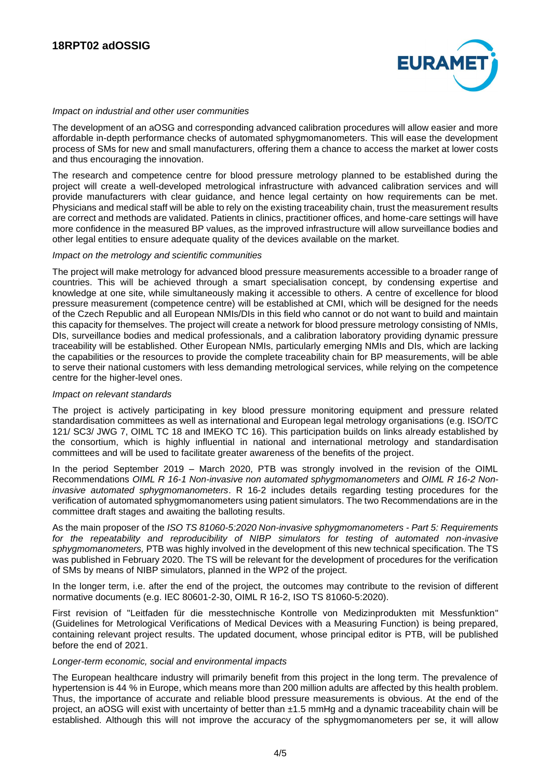

#### *Impact on industrial and other user communities*

The development of an aOSG and corresponding advanced calibration procedures will allow easier and more affordable in-depth performance checks of automated sphygmomanometers. This will ease the development process of SMs for new and small manufacturers, offering them a chance to access the market at lower costs and thus encouraging the innovation.

The research and competence centre for blood pressure metrology planned to be established during the project will create a well-developed metrological infrastructure with advanced calibration services and will provide manufacturers with clear guidance, and hence legal certainty on how requirements can be met. Physicians and medical staff will be able to rely on the existing traceability chain, trust the measurement results are correct and methods are validated. Patients in clinics, practitioner offices, and home-care settings will have more confidence in the measured BP values, as the improved infrastructure will allow surveillance bodies and other legal entities to ensure adequate quality of the devices available on the market.

#### *Impact on the metrology and scientific communities*

The project will make metrology for advanced blood pressure measurements accessible to a broader range of countries. This will be achieved through a smart specialisation concept, by condensing expertise and knowledge at one site, while simultaneously making it accessible to others. A centre of excellence for blood pressure measurement (competence centre) will be established at CMI, which will be designed for the needs of the Czech Republic and all European NMIs/DIs in this field who cannot or do not want to build and maintain this capacity for themselves. The project will create a network for blood pressure metrology consisting of NMIs, DIs, surveillance bodies and medical professionals, and a calibration laboratory providing dynamic pressure traceability will be established. Other European NMIs, particularly emerging NMIs and DIs, which are lacking the capabilities or the resources to provide the complete traceability chain for BP measurements, will be able to serve their national customers with less demanding metrological services, while relying on the competence centre for the higher-level ones.

## *Impact on relevant standards*

The project is actively participating in key blood pressure monitoring equipment and pressure related standardisation committees as well as international and European legal metrology organisations (e.g. ISO/TC 121/ SC3/ JWG 7, OIML TC 18 and IMEKO TC 16). This participation builds on links already established by the consortium, which is highly influential in national and international metrology and standardisation committees and will be used to facilitate greater awareness of the benefits of the project.

In the period September 2019 – March 2020, PTB was strongly involved in the revision of the OIML Recommendations *OIML R 16-1 Non-invasive non automated sphygmomanometers* and *OIML R 16-2 Noninvasive automated sphygmomanometers*. R 16-2 includes details regarding testing procedures for the verification of automated sphygmomanometers using patient simulators. The two Recommendations are in the committee draft stages and awaiting the balloting results.

As the main proposer of the *ISO TS 81060-5:2020 Non-invasive sphygmomanometers - Part 5: Requirements for the repeatability and reproducibility of NIBP simulators for testing of automated non-invasive sphygmomanometers,* PTB was highly involved in the development of this new technical specification. The TS was published in February 2020. The TS will be relevant for the development of procedures for the verification of SMs by means of NIBP simulators, planned in the WP2 of the project.

In the longer term, i.e. after the end of the project, the outcomes may contribute to the revision of different normative documents (e.g. IEC 80601-2-30, OIML R 16-2, ISO TS 81060-5:2020).

First revision of "Leitfaden für die messtechnische Kontrolle von Medizinprodukten mit Messfunktion" (Guidelines for Metrological Verifications of Medical Devices with a Measuring Function) is being prepared, containing relevant project results. The updated document, whose principal editor is PTB, will be published before the end of 2021.

#### *Longer-term economic, social and environmental impacts*

The European healthcare industry will primarily benefit from this project in the long term. The prevalence of hypertension is 44 % in Europe, which means more than 200 million adults are affected by this health problem. Thus, the importance of accurate and reliable blood pressure measurements is obvious. At the end of the project, an aOSG will exist with uncertainty of better than ±1.5 mmHg and a dynamic traceability chain will be established. Although this will not improve the accuracy of the sphygmomanometers per se, it will allow